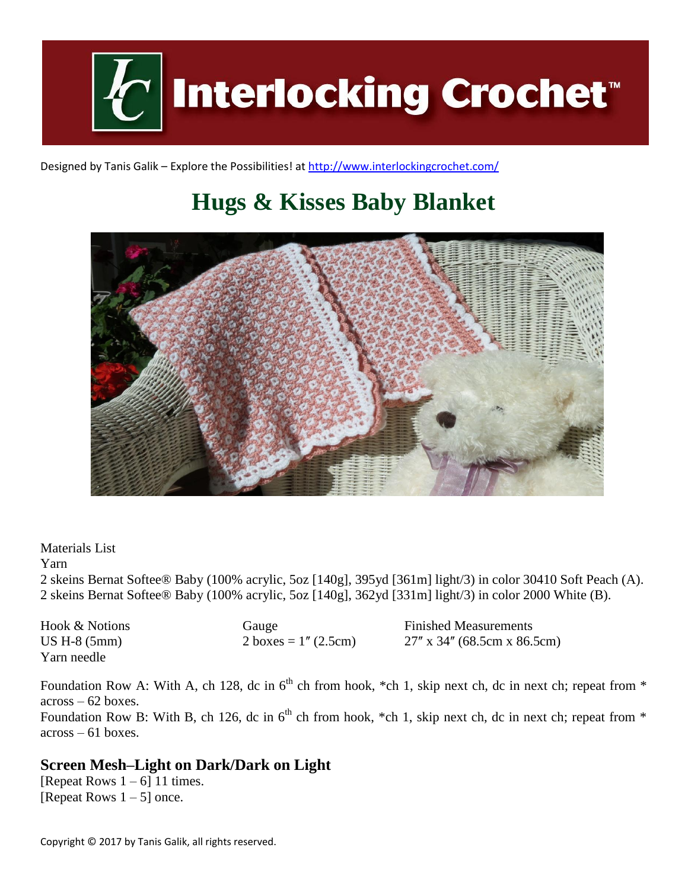

Designed by Tanis Galik – Explore the Possibilities! a[t http://www.interlockingcrochet.com/](http://www.interlockingcrochet.com/)

# **Hugs & Kisses Baby Blanket**



Materials List

Yarn

2 skeins Bernat Softee® Baby (100% acrylic, 5oz [140g], 395yd [361m] light/3) in color 30410 Soft Peach (A). 2 skeins Bernat Softee® Baby (100% acrylic, 5oz [140g], 362yd [331m] light/3) in color 2000 White (B).

Hook & Notions Gauge Finished Measurements US H-8 (5mm) 2 boxes =  $1''$  (2.5cm) 27<sup>'</sup> x 34'' (68.5cm x 86.5cm) Yarn needle

Foundation Row A: With A, ch 128, dc in  $6<sup>th</sup>$  ch from hook, \*ch 1, skip next ch, dc in next ch; repeat from \* across – 62 boxes. Foundation Row B: With B, ch 126, dc in  $6<sup>th</sup>$  ch from hook, \*ch 1, skip next ch, dc in next ch; repeat from \*

across – 61 boxes.

## **Screen Mesh–Light on Dark/Dark on Light**

[Repeat Rows  $1 - 6$ ] 11 times. [Repeat Rows  $1 - 5$ ] once.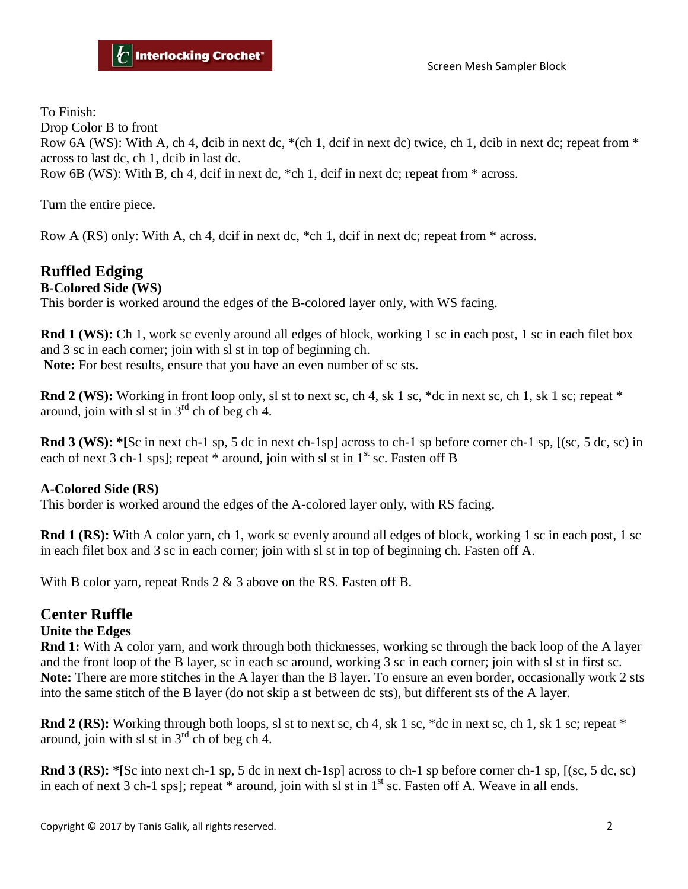To Finish:

Drop Color B to front

Row 6A (WS): With A, ch 4, dcib in next dc,  $*(ch 1, det in next de)$  twice, ch 1, dcib in next dc; repeat from  $*$ across to last dc, ch 1, dcib in last dc.

Row 6B (WS): With B, ch 4, dcif in next dc, \*ch 1, dcif in next dc; repeat from \* across.

Turn the entire piece.

Row A (RS) only: With A, ch 4, dcif in next dc, \*ch 1, dcif in next dc; repeat from \* across.

## **Ruffled Edging**

#### **B-Colored Side (WS)**

This border is worked around the edges of the B-colored layer only, with WS facing.

**Rnd 1 (WS):** Ch 1, work sc evenly around all edges of block, working 1 sc in each post, 1 sc in each filet box and 3 sc in each corner; join with sl st in top of beginning ch.

**Note:** For best results, ensure that you have an even number of sc sts.

**Rnd 2 (WS):** Working in front loop only, sl st to next sc, ch 4, sk 1 sc, \*dc in next sc, ch 1, sk 1 sc; repeat \* around, join with sl st in  $3<sup>rd</sup>$  ch of beg ch 4.

**Rnd 3 (WS): \*[**Sc in next ch-1 sp, 5 dc in next ch-1sp] across to ch-1 sp before corner ch-1 sp, [(sc, 5 dc, sc) in each of next 3 ch-1 sps]; repeat  $*$  around, join with sl st in  $1<sup>st</sup>$  sc. Fasten off B

#### **A-Colored Side (RS)**

This border is worked around the edges of the A-colored layer only, with RS facing.

**Rnd 1 (RS):** With A color yarn, ch 1, work sc evenly around all edges of block, working 1 sc in each post, 1 sc in each filet box and 3 sc in each corner; join with sl st in top of beginning ch. Fasten off A.

With B color yarn, repeat Rnds 2 & 3 above on the RS. Fasten off B.

### **Center Ruffle**

#### **Unite the Edges**

**Rnd 1:** With A color yarn, and work through both thicknesses, working sc through the back loop of the A layer and the front loop of the B layer, sc in each sc around, working 3 sc in each corner; join with sl st in first sc. **Note:** There are more stitches in the A layer than the B layer. To ensure an even border, occasionally work 2 sts into the same stitch of the B layer (do not skip a st between dc sts), but different sts of the A layer.

**Rnd 2 (RS):** Working through both loops, sl st to next sc, ch 4, sk 1 sc, \*dc in next sc, ch 1, sk 1 sc; repeat \* around, join with sl st in  $3<sup>rd</sup>$  ch of beg ch 4.

**Rnd 3 (RS): \*[**Sc into next ch-1 sp, 5 dc in next ch-1sp] across to ch-1 sp before corner ch-1 sp, [(sc, 5 dc, sc) in each of next 3 ch-1 sps]; repeat  $*$  around, join with sl st in  $1<sup>st</sup>$  sc. Fasten off A. Weave in all ends.